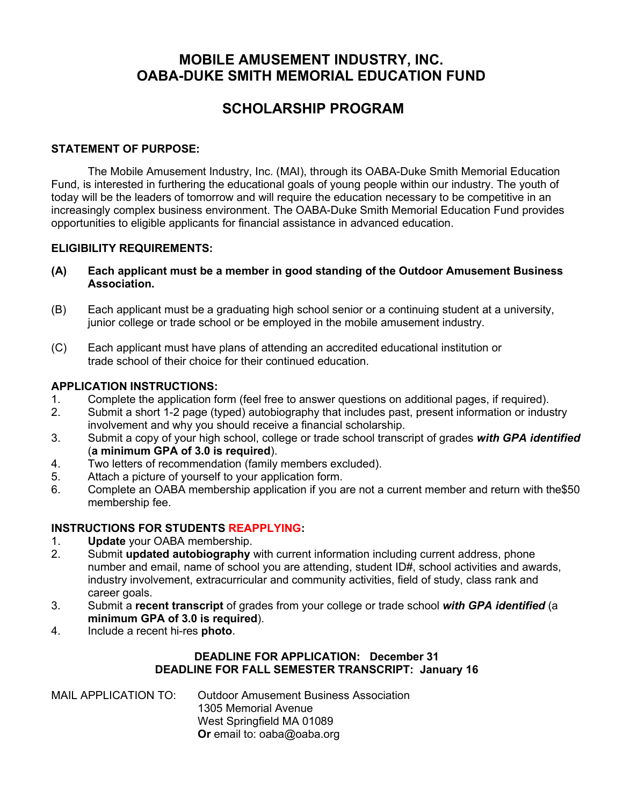### **MOBILE AMUSEMENT INDUSTRY, INC. OABA-DUKE SMITH MEMORIAL EDUCATION FUND**

### **SCHOLARSHIP PROGRAM**

#### **STATEMENT OF PURPOSE:**

The Mobile Amusement Industry, Inc. (MAI), through its OABA-Duke Smith Memorial Education Fund, is interested in furthering the educational goals of young people within our industry. The youth of today will be the leaders of tomorrow and will require the education necessary to be competitive in an increasingly complex business environment. The OABA-Duke Smith Memorial Education Fund provides opportunities to eligible applicants for financial assistance in advanced education.

### **ELIGIBILITY REQUIREMENTS:**

- **(A) Each applicant must be a member in good standing of the Outdoor Amusement Business Association.**
- (B) Each applicant must be a graduating high school senior or a continuing student at a university, junior college or trade school or be employed in the mobile amusement industry.
- (C) Each applicant must have plans of attending an accredited educational institution or trade school of their choice for their continued education.

#### **APPLICATION INSTRUCTIONS:**

- 1. Complete the application form (feel free to answer questions on additional pages, if required).
- 2. Submit a short 1-2 page (typed) autobiography that includes past, present information or industry involvement and why you should receive a financial scholarship.
- 3. Submit a copy of your high school, college or trade school transcript of grades *with GPA identified* (**a minimum GPA of 3.0 is required**).
- 4. Two letters of recommendation (family members excluded).
- 5. Attach a picture of yourself to your application form.
- 6. Complete an OABA membership application if you are not a current member and return with the\$50 membership fee.

#### **INSTRUCTIONS FOR STUDENTS REAPPLYING:**

- 1. **Update** your OABA membership.
- 2. Submit **updated autobiography** with current information including current address, phone number and email, name of school you are attending, student ID#, school activities and awards, industry involvement, extracurricular and community activities, field of study, class rank and career goals.
- 3. Submit a **recent transcript** of grades from your college or trade school *with GPA identified* (a **minimum GPA of 3.0 is required**).
- 4. Include a recent hi-res **photo**.

### **DEADLINE FOR APPLICATION: December 31 DEADLINE FOR FALL SEMESTER TRANSCRIPT: January 16**

MAIL APPLICATION TO: Outdoor Amusement Business Association 1305 Memorial Avenue West Springfield MA 01089 **Or** email to: oaba@oaba.org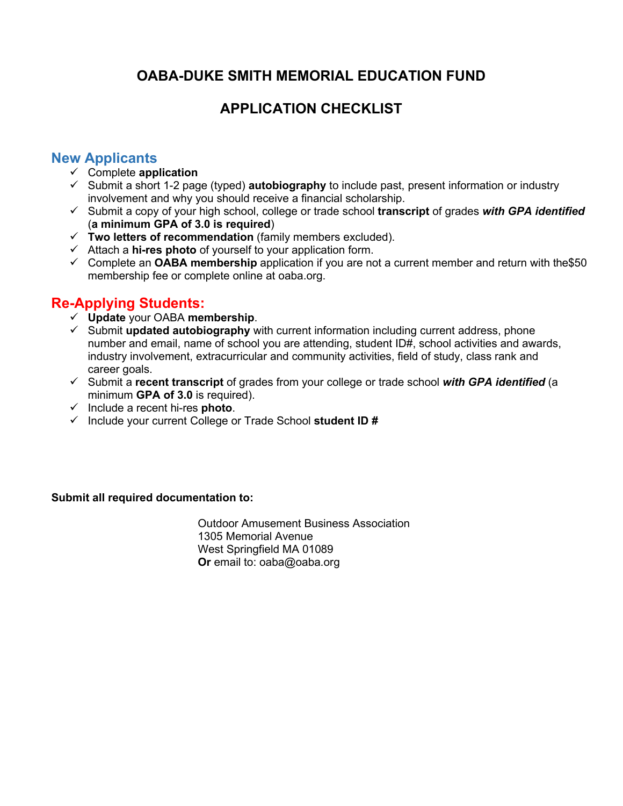## **OABA-DUKE SMITH MEMORIAL EDUCATION FUND**

# **APPLICATION CHECKLIST**

### **New Applicants**

- Complete **application**
- $\checkmark$  Submit a short 1-2 page (typed) **autobiography** to include past, present information or industry involvement and why you should receive a financial scholarship.
- Submit a copy of your high school, college or trade school **transcript** of grades *with GPA identified* (**a minimum GPA of 3.0 is required**)
- **Two letters of recommendation** (family members excluded).
- Attach a **hi-res photo** of yourself to your application form.
- Complete an **OABA membership** application if you are not a current member and return with the\$50 membership fee or complete online at oaba.org.

## **Re-Applying Students:**

- **Update** your OABA **membership**.
- Submit **updated autobiography** with current information including current address, phone number and email, name of school you are attending, student ID#, school activities and awards, industry involvement, extracurricular and community activities, field of study, class rank and career goals.
- Submit a **recent transcript** of grades from your college or trade school *with GPA identified* (a minimum **GPA of 3.0** is required).
- Include a recent hi-res **photo**.
- Include your current College or Trade School **student ID #**

### **Submit all required documentation to:**

Outdoor Amusement Business Association 1305 Memorial Avenue West Springfield MA 01089 **Or** email to: oaba@oaba.org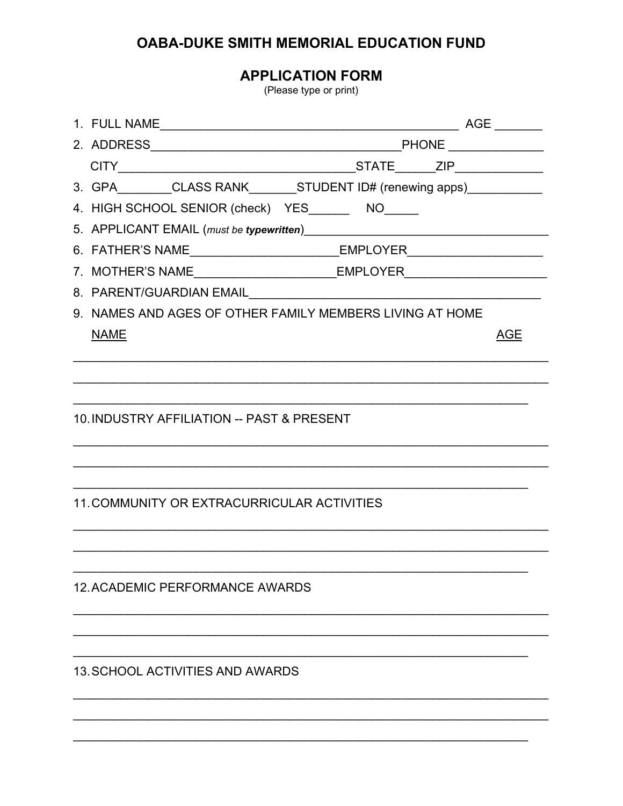## OABA-DUKE SMITH MEMORIAL EDUCATION FUND

**APPLICATION FORM** 

(Please type or print)

| 3. GPA________CLASS RANK_______STUDENT ID# (renewing apps)___________            |  |            |  |  |
|----------------------------------------------------------------------------------|--|------------|--|--|
| 4. HIGH SCHOOL SENIOR (check) YES_______ NO_____                                 |  |            |  |  |
|                                                                                  |  |            |  |  |
| 6. FATHER'S NAME_______________________________EMPLOYER_________________________ |  |            |  |  |
| 7. MOTHER'S NAME_______________________________EMPLOYER_________________________ |  |            |  |  |
|                                                                                  |  |            |  |  |
| 9. NAMES AND AGES OF OTHER FAMILY MEMBERS LIVING AT HOME                         |  |            |  |  |
| <b>NAME</b>                                                                      |  | <b>AGE</b> |  |  |
|                                                                                  |  |            |  |  |
|                                                                                  |  |            |  |  |
| 10. INDUSTRY AFFILIATION -- PAST & PRESENT                                       |  |            |  |  |
|                                                                                  |  |            |  |  |
|                                                                                  |  |            |  |  |
|                                                                                  |  |            |  |  |
| <b>11. COMMUNITY OR EXTRACURRICULAR ACTIVITIES</b>                               |  |            |  |  |
|                                                                                  |  |            |  |  |
|                                                                                  |  |            |  |  |
| <b>12. ACADEMIC PERFORMANCE AWARDS</b>                                           |  |            |  |  |
|                                                                                  |  |            |  |  |
|                                                                                  |  |            |  |  |
|                                                                                  |  |            |  |  |
| <b>13. SCHOOL ACTIVITIES AND AWARDS</b>                                          |  |            |  |  |
|                                                                                  |  |            |  |  |
|                                                                                  |  |            |  |  |
|                                                                                  |  |            |  |  |